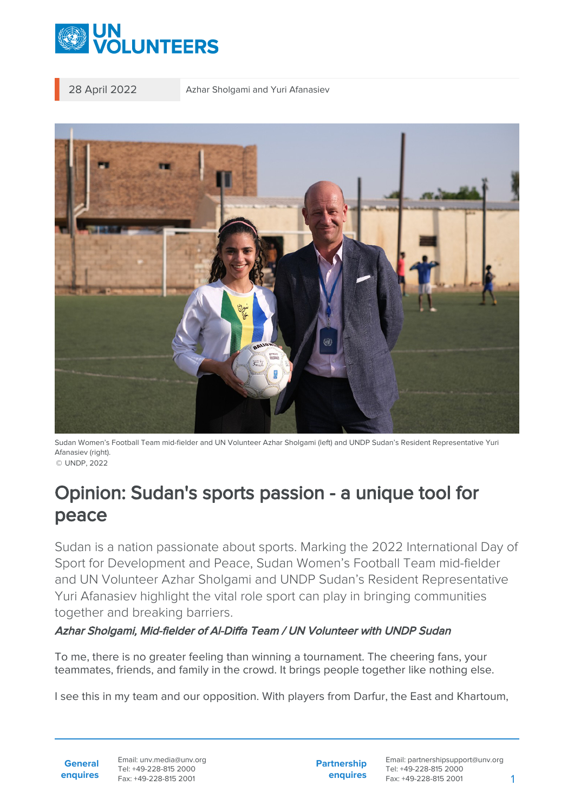

28 April 2022 Azhar Sholgami and Yuri Afanasiev



Sudan Women's Football Team mid-fielder and UN Volunteer Azhar Sholgami (left) and UNDP Sudan's Resident Representative Yuri Afanasiev (right). © UNDP, 2022

## Opinion: Sudan's sports passion - a unique tool for peace

Sudan is a nation passionate about sports. Marking the 2022 International Day of Sport for Development and Peace, Sudan Women's Football Team mid-fielder and UN Volunteer Azhar Sholgami and UNDP Sudan's Resident Representative Yuri Afanasiev highlight the vital role sport can play in bringing communities together and breaking barriers.

## Azhar Sholgami, Mid-fielder of Al-Diffa Team / UN Volunteer with UNDP Sudan

To me, there is no greater feeling than winning a tournament. The cheering fans, your teammates, friends, and family in the crowd. It brings people together like nothing else.

I see this in my team and our opposition. With players from Darfur, the East and Khartoum,

**General enquires** **Partnership enquires**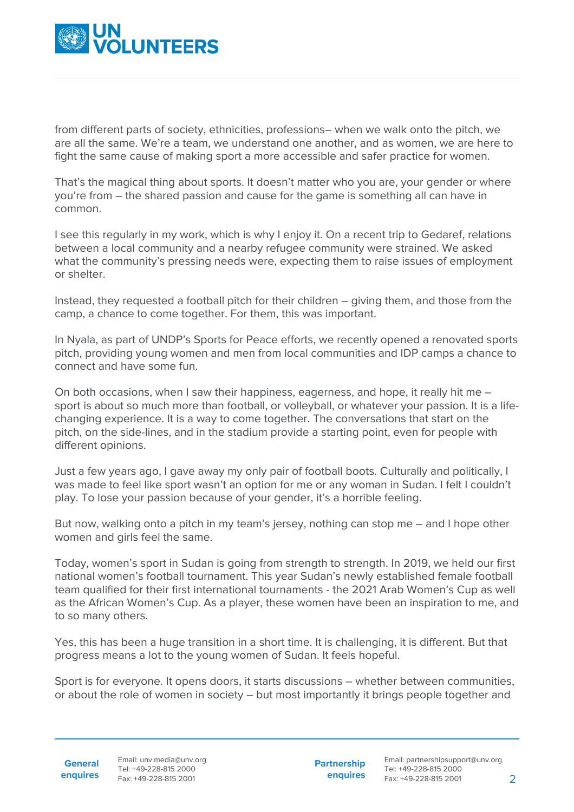

from different parts of society, ethnicities, professions– when we walk onto the pitch, we are all the same. We're a team, we understand one another, and as women, we are here to fight the same cause of making sport a more accessible and safer practice for women.

That's the magical thing about sports. It doesn't matter who you are, your gender or where you're from – the shared passion and cause for the game is something all can have in common.

I see this regularly in my work, which is why I enjoy it. On a recent trip to Gedaref, relations between a local community and a nearby refugee community were strained. We asked what the community's pressing needs were, expecting them to raise issues of employment or shelter.

Instead, they requested a football pitch for their children – giving them, and those from the camp, a chance to come together. For them, this was important.

In Nyala, as part of UNDP's Sports for Peace efforts, we recently opened a renovated sports pitch, providing young women and men from local communities and IDP camps a chance to connect and have some fun.

On both occasions, when I saw their happiness, eagerness, and hope, it really hit me – sport is about so much more than football, or volleyball, or whatever your passion. It is a lifechanging experience. It is a way to come together. The conversations that start on the pitch, on the side-lines, and in the stadium provide a starting point, even for people with different opinions.

Just a few years ago, I gave away my only pair of football boots. Culturally and politically, I was made to feel like sport wasn't an option for me or any woman in Sudan. I felt I couldn't play. To lose your passion because of your gender, it's a horrible feeling.

But now, walking onto a pitch in my team's jersey, nothing can stop me – and I hope other women and girls feel the same.

Today, women's sport in Sudan is going from strength to strength. In 2019, we held our first national women's football tournament. This year Sudan's newly established female football team qualified for their first international tournaments - the 2021 Arab Women's Cup as well as the African Women's Cup. As a player, these women have been an inspiration to me, and to so many others.

Yes, this has been a huge transition in a short time. It is challenging, it is different. But that progress means a lot to the young women of Sudan. It feels hopeful.

Sport is for everyone. It opens doors, it starts discussions – whether between communities, or about the role of women in society – but most importantly it brings people together and

**General enquires** **Partnership enquires**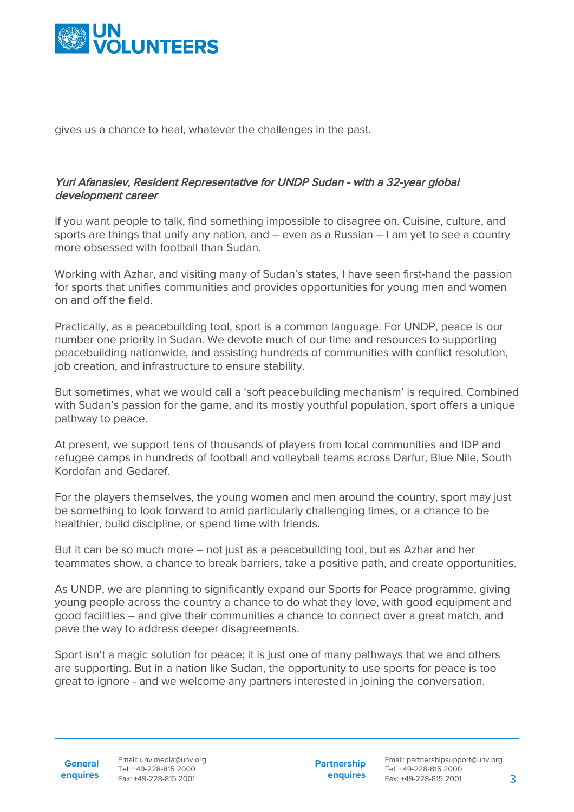

gives us a chance to heal, whatever the challenges in the past.

## Yuri Afanasiev, Resident Representative for UNDP Sudan - with a 32-year global development career

If you want people to talk, find something impossible to disagree on. Cuisine, culture, and sports are things that unify any nation, and – even as a Russian – I am yet to see a country more obsessed with football than Sudan.

Working with Azhar, and visiting many of Sudan's states, I have seen first-hand the passion for sports that unifies communities and provides opportunities for young men and women on and off the field.

Practically, as a peacebuilding tool, sport is a common language. For UNDP, peace is our number one priority in Sudan. We devote much of our time and resources to supporting peacebuilding nationwide, and assisting hundreds of communities with conflict resolution, job creation, and infrastructure to ensure stability.

But sometimes, what we would call a 'soft peacebuilding mechanism' is required. Combined with Sudan's passion for the game, and its mostly youthful population, sport offers a unique pathway to peace.

At present, we support tens of thousands of players from local communities and IDP and refugee camps in hundreds of football and volleyball teams across Darfur, Blue Nile, South Kordofan and Gedaref.

For the players themselves, the young women and men around the country, sport may just be something to look forward to amid particularly challenging times, or a chance to be healthier, build discipline, or spend time with friends.

But it can be so much more – not just as a peacebuilding tool, but as Azhar and her teammates show, a chance to break barriers, take a positive path, and create opportunities.

As UNDP, we are planning to significantly expand our Sports for Peace programme, giving young people across the country a chance to do what they love, with good equipment and good facilities – and give their communities a chance to connect over a great match, and pave the way to address deeper disagreements.

Sport isn't a magic solution for peace; it is just one of many pathways that we and others are supporting. But in a nation like Sudan, the opportunity to use sports for peace is too great to ignore - and we welcome any partners interested in joining the conversation.

**Partnership enquires**